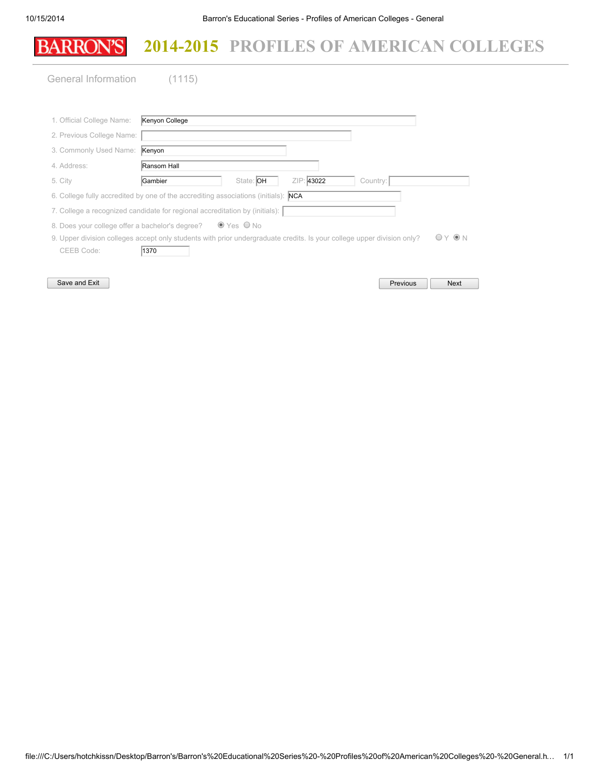| <b>BARRON'S</b>                                                                           | 2014-2015 PROFILES OF AMERICAN COLLEGES |           |            |          |  |
|-------------------------------------------------------------------------------------------|-----------------------------------------|-----------|------------|----------|--|
| General Information                                                                       | (1115)                                  |           |            |          |  |
| 1. Official College Name:                                                                 | Kenyon College                          |           |            |          |  |
| 2. Previous College Name:                                                                 |                                         |           |            |          |  |
| 3. Commonly Used Name:                                                                    | Kenyon                                  |           |            |          |  |
| 4. Address:                                                                               | Ransom Hall                             |           |            |          |  |
| 5. City                                                                                   | Gambier                                 | State: OH | ZIP: 43022 | Country: |  |
| 6. College fully accredited by one of the accrediting associations (initials): <b>NCA</b> |                                         |           |            |          |  |
| 7. College a recognized candidate for regional accreditation by (initials):               |                                         |           |            |          |  |

8. Does your college offer a bachelor's degree?  $\bullet$  Yes  $\bullet$  No

9. Upper division colleges accept only students with prior undergraduate credits. Is your college upper division only?  $\bigcirc$  Y  $\bigcirc$  N CEEB Code: 1370

Save and Exit

| Previous | <b>Next</b> |
|----------|-------------|
|          |             |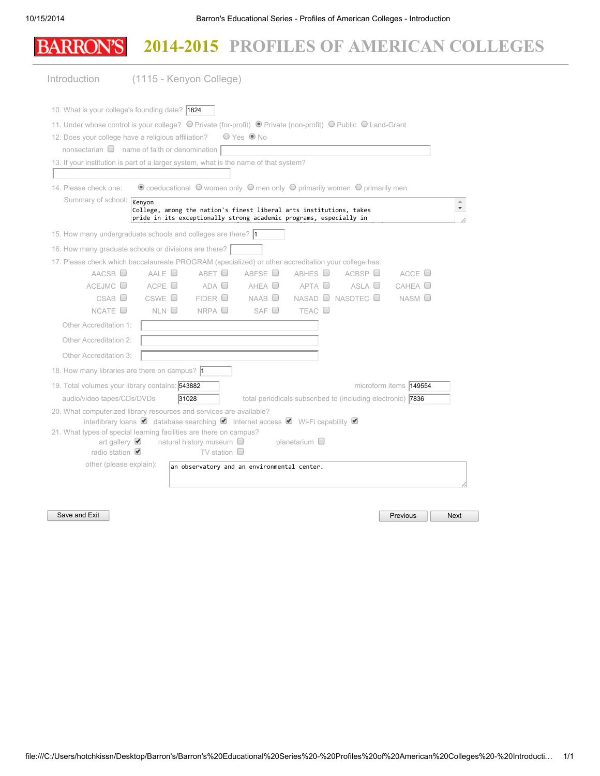|                                                                | 2014-2015 PROFILES OF AMERICAN COLLEGES                                                                                                                                                                                                                                                                                            |
|----------------------------------------------------------------|------------------------------------------------------------------------------------------------------------------------------------------------------------------------------------------------------------------------------------------------------------------------------------------------------------------------------------|
| Introduction                                                   | (1115 - Kenyon College)                                                                                                                                                                                                                                                                                                            |
|                                                                | 10. What is your college's founding date? 1824                                                                                                                                                                                                                                                                                     |
|                                                                | 11. Under whose control is your college? © Private (for-profit) © Private (non-profit) © Public © Land-Grant                                                                                                                                                                                                                       |
|                                                                | 12. Does your college have a religious affiliation?<br>$O$ Yes $\odot$ No                                                                                                                                                                                                                                                          |
|                                                                | nonsectarian $\Box$ name of faith or denomination $\Box$                                                                                                                                                                                                                                                                           |
|                                                                | 13. If your institution is part of a larger system, what is the name of that system?                                                                                                                                                                                                                                               |
|                                                                |                                                                                                                                                                                                                                                                                                                                    |
| 14. Please check one:                                          | $\bullet$ coeducational $\circ$ women only $\circ$ men only $\circ$ primarily women $\circ$ primarily men                                                                                                                                                                                                                          |
| Summary of school: Kenyon                                      | $\triangle$<br>College, among the nation's finest liberal arts institutions, takes<br>pride in its exceptionally strong academic programs, especially in                                                                                                                                                                           |
|                                                                | 15. How many undergraduate schools and colleges are there? 1                                                                                                                                                                                                                                                                       |
|                                                                | 16. How many graduate schools or divisions are there?                                                                                                                                                                                                                                                                              |
|                                                                | 17. Please check which baccalaureate PROGRAM (specialized) or other accreditation your college has:                                                                                                                                                                                                                                |
| $AACSB$ $\Box$                                                 | ABFSE <sup>D</sup><br>AALE $\Box$<br>ABET O<br>ABHES O<br>ACBSP<br>ACCE $\Box$                                                                                                                                                                                                                                                     |
| ACEJMC                                                         | ACPE $\Box$<br>$ADA$ $\Box$<br>$AHEA$ $\Box$<br>APTA O<br>ASLA<br>CAHEA                                                                                                                                                                                                                                                            |
| CSAB                                                           | NASAD □ NASDTEC □<br>$\mathsf{CSWE}$ $\square$<br>FIDER<br>$NAAB$ $\square$<br>$NASM$ $\square$                                                                                                                                                                                                                                    |
| NCATE $\square$                                                | NLN<br>NRPA<br>SAF $\Box$<br>TEAC <sup>[]</sup>                                                                                                                                                                                                                                                                                    |
| Other Accreditation 1:                                         |                                                                                                                                                                                                                                                                                                                                    |
| Other Accreditation 2:                                         |                                                                                                                                                                                                                                                                                                                                    |
| Other Accreditation 3:                                         |                                                                                                                                                                                                                                                                                                                                    |
|                                                                | 18. How many libraries are there on campus? 1                                                                                                                                                                                                                                                                                      |
| 19. Total volumes your library contains: 543882                | microform items <b>149554</b>                                                                                                                                                                                                                                                                                                      |
| audio/video tapes/CDs/DVDs                                     | 31028<br>total periodicals subscribed to (including electronic) 7836                                                                                                                                                                                                                                                               |
| art gallery $\blacktriangleright$<br>radio station $\triangle$ | 20. What computerized library resources and services are available?<br>interlibrary loans $\bullet$ database searching $\bullet$ Internet access $\bullet$ Wi-Fi capability $\bullet$<br>21. What types of special learning facilities are there on campus?<br>natural history museum └<br>planetarium $\Box$<br>TV station $\Box$ |
| other (please explain):                                        | an observatory and an environmental center.                                                                                                                                                                                                                                                                                        |

Save and Exit Next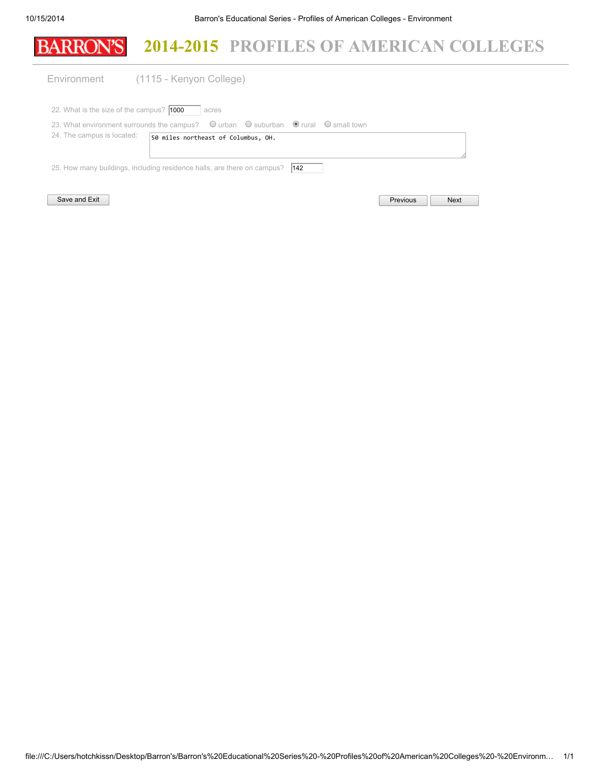|                                                 | 2014-2015 PROFILES OF AMERICAN COLLEGES                                                                                |
|-------------------------------------------------|------------------------------------------------------------------------------------------------------------------------|
| Environment                                     | (1115 - Kenyon College)                                                                                                |
| 22. What is the size of the campus? <b>1000</b> | acres                                                                                                                  |
|                                                 | 23. What environment surrounds the campus? $\bigcirc$ urban $\bigcirc$ suburban $\bigcirc$ rural $\bigcirc$ small town |
| 24. The campus is located:                      | 50 miles northeast of Columbus, OH.                                                                                    |
|                                                 | 25. How many buildings, including residence halls, are there on campus?<br>$ 142\rangle$                               |
| Save and Exit                                   | <b>Previous</b><br><b>Next</b>                                                                                         |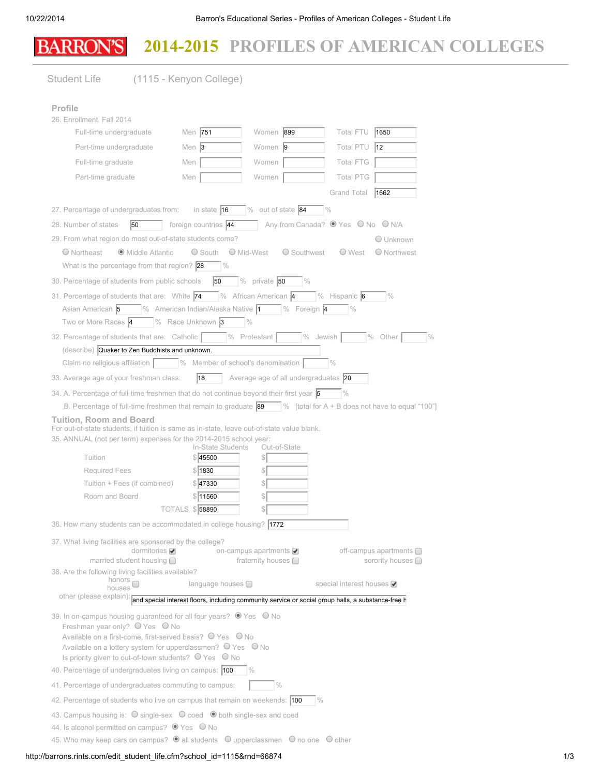### **BARRON'S** 2014-2015 PROFILES OF AMERICAN COLLEGES

| <b>Student Life</b>                                                                                                                                                                                                                                                                                                                                                                     | (1115 - Kenyon College)                               |                                                                                                    |                                 |                                                   |  |  |
|-----------------------------------------------------------------------------------------------------------------------------------------------------------------------------------------------------------------------------------------------------------------------------------------------------------------------------------------------------------------------------------------|-------------------------------------------------------|----------------------------------------------------------------------------------------------------|---------------------------------|---------------------------------------------------|--|--|
| Profile                                                                                                                                                                                                                                                                                                                                                                                 |                                                       |                                                                                                    |                                 |                                                   |  |  |
| 26. Enrollment, Fall 2014                                                                                                                                                                                                                                                                                                                                                               |                                                       |                                                                                                    |                                 |                                                   |  |  |
| Full-time undergraduate                                                                                                                                                                                                                                                                                                                                                                 | Men 751                                               | Women 899                                                                                          | Total FTU 1650                  |                                                   |  |  |
| Part-time undergraduate                                                                                                                                                                                                                                                                                                                                                                 | Men $ 3 $                                             | Women 9                                                                                            | Total PTU 12                    |                                                   |  |  |
| Full-time graduate                                                                                                                                                                                                                                                                                                                                                                      | Men                                                   | Women                                                                                              | <b>Total FTG</b>                |                                                   |  |  |
| Part-time graduate                                                                                                                                                                                                                                                                                                                                                                      | Men                                                   | Women                                                                                              | <b>Total PTG</b>                |                                                   |  |  |
|                                                                                                                                                                                                                                                                                                                                                                                         |                                                       |                                                                                                    | Grand Total                     | 1662                                              |  |  |
| 27. Percentage of undergraduates from:                                                                                                                                                                                                                                                                                                                                                  | in state $\vert$ 16                                   | $\sqrt{\frac{6}{10}}$ out of state 84                                                              | $\frac{10}{6}$                  |                                                   |  |  |
| 50<br>28. Number of states                                                                                                                                                                                                                                                                                                                                                              | foreign countries 44                                  |                                                                                                    | Any from Canada? Wes O No O N/A |                                                   |  |  |
| 29. From what region do most out-of-state students come?                                                                                                                                                                                                                                                                                                                                |                                                       |                                                                                                    |                                 | O Unknown                                         |  |  |
| · Middle Atlantic<br>$O$ Northeast                                                                                                                                                                                                                                                                                                                                                      | ○ South ○ Mid-West                                    | ○ Southwest                                                                                        | ∪ West                          | O Northwest                                       |  |  |
| What is the percentage from that region? $28$                                                                                                                                                                                                                                                                                                                                           | $\frac{10}{6}$                                        |                                                                                                    |                                 |                                                   |  |  |
| 30. Percentage of students from public schools                                                                                                                                                                                                                                                                                                                                          | 50                                                    | % private $50$<br>$\frac{0}{0}$                                                                    |                                 |                                                   |  |  |
| 31. Percentage of students that are: White 74                                                                                                                                                                                                                                                                                                                                           |                                                       | $\sqrt{96}$ African American $\sqrt{4}$                                                            | $\%$ Hispanic 6                 | $\frac{0}{0}$                                     |  |  |
| Asian American 5                                                                                                                                                                                                                                                                                                                                                                        | $\sqrt{ }$ % American Indian/Alaska Native $\sqrt{ }$ | $\frac{1}{2}$ % Foreign 4                                                                          | $\frac{0}{0}$                   |                                                   |  |  |
| Two or More Races 4                                                                                                                                                                                                                                                                                                                                                                     | $\sqrt{ }$ % Race Unknown 3                           | $\frac{0}{0}$                                                                                      |                                 |                                                   |  |  |
| 32. Percentage of students that are: Catholic                                                                                                                                                                                                                                                                                                                                           |                                                       | $%$ Protestant                                                                                     | $\%$ Jewish                     | % Other                                           |  |  |
| (describe) Quaker to Zen Buddhists and unknown.                                                                                                                                                                                                                                                                                                                                         |                                                       |                                                                                                    |                                 |                                                   |  |  |
| Claim no religious affiliation   % Member of school's denomination                                                                                                                                                                                                                                                                                                                      |                                                       |                                                                                                    | $\frac{10}{6}$                  |                                                   |  |  |
| 33. Average age of your freshman class:                                                                                                                                                                                                                                                                                                                                                 | 18                                                    | Average age of all undergraduates 20                                                               |                                 |                                                   |  |  |
| 34. A. Percentage of full-time freshmen that do not continue beyond their first year $\overline{5}$                                                                                                                                                                                                                                                                                     |                                                       |                                                                                                    | $\frac{0}{0}$                   |                                                   |  |  |
| B. Percentage of full-time freshmen that remain to graduate $\sqrt{89}$ [total for A + B does not have to equal "100"]                                                                                                                                                                                                                                                                  |                                                       |                                                                                                    |                                 |                                                   |  |  |
| <b>Tuition, Room and Board</b><br>For out-of-state students, if tuition is same as in-state, leave out-of-state value blank.                                                                                                                                                                                                                                                            |                                                       |                                                                                                    |                                 |                                                   |  |  |
| 35. ANNUAL (not per term) expenses for the 2014-2015 school year:                                                                                                                                                                                                                                                                                                                       | In-State Students                                     | Out-of-State                                                                                       |                                 |                                                   |  |  |
| Tuition                                                                                                                                                                                                                                                                                                                                                                                 | \$ 45500                                              | $\frac{1}{2}$                                                                                      |                                 |                                                   |  |  |
| <b>Required Fees</b>                                                                                                                                                                                                                                                                                                                                                                    | \$ 1830                                               | \$                                                                                                 |                                 |                                                   |  |  |
| Tuition + Fees (if combined)                                                                                                                                                                                                                                                                                                                                                            | \$ 47330                                              | \$                                                                                                 |                                 |                                                   |  |  |
| Room and Board                                                                                                                                                                                                                                                                                                                                                                          | \$11560                                               | \$                                                                                                 |                                 |                                                   |  |  |
|                                                                                                                                                                                                                                                                                                                                                                                         | TOTALS \$58890                                        | $\mathbb{S}$                                                                                       |                                 |                                                   |  |  |
| 36. How many students can be accommodated in college housing? 1772                                                                                                                                                                                                                                                                                                                      |                                                       |                                                                                                    |                                 |                                                   |  |  |
| 37. What living facilities are sponsored by the college?<br>dormitories $\blacktriangleright$<br>married student housing $\Box$                                                                                                                                                                                                                                                         |                                                       | on-campus apartments ☑<br>fraternity houses $\Box$                                                 |                                 | off-campus apartments $\Box$<br>sorority houses n |  |  |
| 38. Are the following living facilities available?                                                                                                                                                                                                                                                                                                                                      |                                                       |                                                                                                    |                                 |                                                   |  |  |
| honors $\Box$<br>houses                                                                                                                                                                                                                                                                                                                                                                 | language houses <sup>1</sup>                          |                                                                                                    | special interest houses ☑       |                                                   |  |  |
| other (please explain):                                                                                                                                                                                                                                                                                                                                                                 |                                                       | and special interest floors, including community service or social group halls, a substance-free h |                                 |                                                   |  |  |
| 39. In on-campus housing guaranteed for all four years? ● Yes ● No<br>Freshman year only? O Yes O No<br>Available on a first-come, first-served basis? ○ Yes ○ No<br>Available on a lottery system for upperclassmen? $\bigcirc$ Yes $\bigcirc$ No<br>Is priority given to out-of-town students? $\bigcirc$ Yes $\bigcirc$ No<br>40. Percentage of undergraduates living on campus: 100 |                                                       |                                                                                                    |                                 |                                                   |  |  |
|                                                                                                                                                                                                                                                                                                                                                                                         |                                                       |                                                                                                    |                                 |                                                   |  |  |
| 41. Percentage of undergraduates commuting to campus:                                                                                                                                                                                                                                                                                                                                   |                                                       | $\frac{0}{0}$                                                                                      |                                 |                                                   |  |  |
| 42. Percentage of students who live on campus that remain on weekends: 100                                                                                                                                                                                                                                                                                                              |                                                       |                                                                                                    | $\frac{9}{6}$                   |                                                   |  |  |
| 43. Campus housing is: O single-sex O coed O both single-sex and coed<br>44. Is alcohol permitted on campus? O Yes O No                                                                                                                                                                                                                                                                 |                                                       |                                                                                                    |                                 |                                                   |  |  |
| 45. Who may keep cars on campus? $\bullet$ all students $\circ$ upperclassmen $\circ$ no one $\circ$ other                                                                                                                                                                                                                                                                              |                                                       |                                                                                                    |                                 |                                                   |  |  |
|                                                                                                                                                                                                                                                                                                                                                                                         |                                                       |                                                                                                    |                                 |                                                   |  |  |

### http://barrons.rints.com/edit\_student\_life.cfm?school\_id=1115&rnd=66874 1/3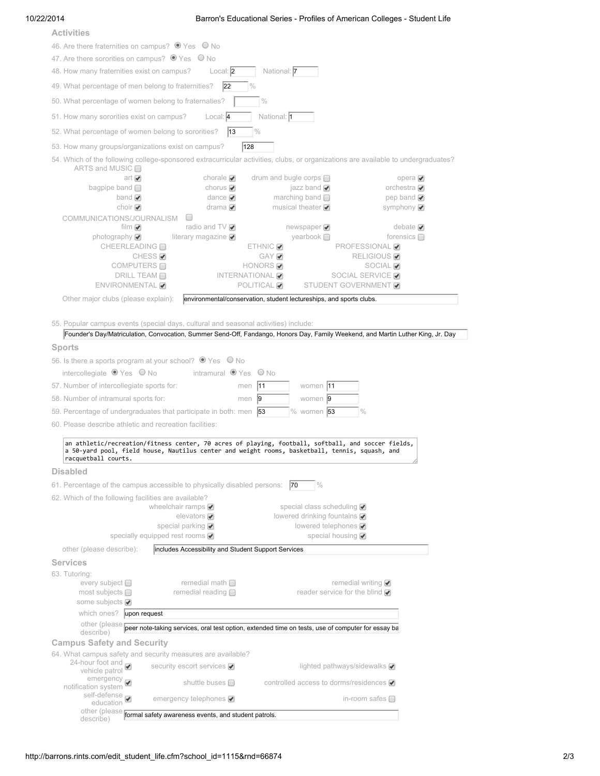### 10/22/2014 Barron's Educational Series - Profiles of American Colleges - Student Life

| <b>Activities</b>                                                                                                                                                                                                           |                                                                   |                                                                     |                                                   |
|-----------------------------------------------------------------------------------------------------------------------------------------------------------------------------------------------------------------------------|-------------------------------------------------------------------|---------------------------------------------------------------------|---------------------------------------------------|
| 46. Are there fraternities on campus? O Yes O No                                                                                                                                                                            |                                                                   |                                                                     |                                                   |
| 47. Are there sororities on campus? $\bullet$ Yes $\circ$ No                                                                                                                                                                |                                                                   |                                                                     |                                                   |
| 48. How many fraternities exist on campus?                                                                                                                                                                                  | Local: 2                                                          | National: 7                                                         |                                                   |
| 49. What percentage of men belong to fraternities?                                                                                                                                                                          | 22                                                                |                                                                     |                                                   |
| 50. What percentage of women belong to fraternaties?                                                                                                                                                                        |                                                                   | $\frac{9}{6}$                                                       |                                                   |
| 51. How many sororities exist on campus?                                                                                                                                                                                    | Local: 4                                                          | National: 1                                                         |                                                   |
| 52. What percentage of women belong to sororities?                                                                                                                                                                          | $ 13\rangle$                                                      | $\frac{10}{6}$                                                      |                                                   |
| 53. How many groups/organizations exist on campus?                                                                                                                                                                          | $\sqrt{128}$                                                      |                                                                     |                                                   |
| 54. Which of the following college-sponsored extracurricular activities, clubs, or organizations are available to undergraduates?                                                                                           |                                                                   |                                                                     |                                                   |
| ARTS and MUSIC $\Box$                                                                                                                                                                                                       |                                                                   |                                                                     |                                                   |
| art<br>bagpipe band $\Box$                                                                                                                                                                                                  | chorale $\blacktriangledown$                                      | drum and bugle corps $\Box$<br>jazz band $\blacktriangledown$       | opera ✔<br>orchestra $\blacktriangledown$         |
| band $\blacktriangledown$                                                                                                                                                                                                   | chorus $\blacktriangleright$<br>dance $\blacktriangledown$        | marching band $\Box$                                                | pep band $\blacktriangledown$                     |
| choir $\blacktriangledown$                                                                                                                                                                                                  | drama $\blacktriangledown$                                        | musical theater $\blacktriangledown$                                | symphony ☑                                        |
| COMMUNICATIONS/JOURNALISM O                                                                                                                                                                                                 |                                                                   |                                                                     |                                                   |
| film $\mathcal Q$<br>photography $\bigcirc$                                                                                                                                                                                 | radio and TV $\bigcirc$<br>literary magazine $\blacktriangledown$ | newspaper $\blacktriangledown$<br>yearbook $\Box$                   | debate $\blacktriangleright$<br>forensics $\Box$  |
| CHEERLEADING □                                                                                                                                                                                                              |                                                                   | $ETHNIC \nabla$                                                     | <b>PROFESSIONAL</b>                               |
| CHESS <sub>√</sub>                                                                                                                                                                                                          |                                                                   | GAY                                                                 | <b>RELIGIOUS</b>                                  |
| COMPUTERS □<br><b>DRILL TEAM □</b>                                                                                                                                                                                          | INTERNATIONAL                                                     | HONORS <sup>Ø</sup>                                                 | SOCIAL <sup>Ø</sup><br>SOCIAL SERVICE <b>☑</b>    |
| ENVIRONMENTAL                                                                                                                                                                                                               |                                                                   | POLITICAL <sup>√</sup>                                              | STUDENT GOVERNMENT                                |
| Other major clubs (please explain):                                                                                                                                                                                         |                                                                   | environmental/conservation, student lectureships, and sports clubs. |                                                   |
|                                                                                                                                                                                                                             |                                                                   |                                                                     |                                                   |
| 55. Popular campus events (special days, cultural and seasonal activities) include:                                                                                                                                         |                                                                   |                                                                     |                                                   |
| Founder's Day/Matriculation, Convocation, Summer Send-Off, Fandango, Honors Day, Family Weekend, and Martin Luther King, Jr. Day                                                                                            |                                                                   |                                                                     |                                                   |
| <b>Sports</b>                                                                                                                                                                                                               |                                                                   |                                                                     |                                                   |
| 56. Is there a sports program at your school? ● Yes ● No                                                                                                                                                                    |                                                                   |                                                                     |                                                   |
| intercollegiate $\bullet$ Yes $\circ$ No                                                                                                                                                                                    | intramural OYes ONo                                               |                                                                     |                                                   |
| 57. Number of intercollegiate sports for:                                                                                                                                                                                   | men  11                                                           | women 11                                                            |                                                   |
| 58. Number of intramural sports for:                                                                                                                                                                                        | men $ 9 $                                                         | women 9                                                             |                                                   |
| 59. Percentage of undergraduates that participate in both: men $\vert$ 53                                                                                                                                                   |                                                                   | $\%$ women 53                                                       |                                                   |
| 60. Please describe athletic and recreation facilities:                                                                                                                                                                     |                                                                   |                                                                     |                                                   |
| an athletic/recreation/fitness center, 70 acres of playing, football, softball, and soccer fields,<br>a 50-yard pool, field house, Nautilus center and weight rooms, basketball, tennis, squash, and<br>racquetball courts. |                                                                   |                                                                     |                                                   |
| <b>Disabled</b>                                                                                                                                                                                                             |                                                                   |                                                                     |                                                   |
| 61. Percentage of the campus accessible to physically disabled persons: 70                                                                                                                                                  |                                                                   |                                                                     |                                                   |
|                                                                                                                                                                                                                             |                                                                   | $\%$                                                                |                                                   |
| 62. Which of the following facilities are available?                                                                                                                                                                        | wheelchair ramps $\blacktriangledown$                             | special class scheduling ☑                                          |                                                   |
|                                                                                                                                                                                                                             | elevators $\blacktriangledown$                                    | lowered drinking fountains ☑                                        |                                                   |
|                                                                                                                                                                                                                             | special parking $\sqrt{\phantom{a}}$                              | lowered telephones ☑                                                |                                                   |
| specially equipped rest rooms ☑                                                                                                                                                                                             |                                                                   | special housing Ø                                                   |                                                   |
| other (please describe):                                                                                                                                                                                                    | includes Accessibility and Student Support Services               |                                                                     |                                                   |
| <b>Services</b>                                                                                                                                                                                                             |                                                                   |                                                                     |                                                   |
| 63. Tutoring:<br>every subject □                                                                                                                                                                                            | remedial math $\square$                                           |                                                                     | remedial writing $\blacktriangledown$             |
| most subjects $\Box$                                                                                                                                                                                                        | remedial reading $\Box$                                           |                                                                     | reader service for the blind $\blacktriangledown$ |
| some subjects Ø                                                                                                                                                                                                             |                                                                   |                                                                     |                                                   |
| which ones? upon request                                                                                                                                                                                                    |                                                                   |                                                                     |                                                   |
| other (please peer note-taking services, oral test option, extended time on tests, use of computer for essay ba<br>describe)                                                                                                |                                                                   |                                                                     |                                                   |
| <b>Campus Safety and Security</b>                                                                                                                                                                                           |                                                                   |                                                                     |                                                   |
| 64. What campus safety and security measures are available?                                                                                                                                                                 |                                                                   |                                                                     |                                                   |
| 24-hour foot and $\bullet$ vehicle patrol                                                                                                                                                                                   | security escort services ☑                                        |                                                                     | lighted pathways/sidewalks $\blacktriangledown$   |
|                                                                                                                                                                                                                             |                                                                   |                                                                     |                                                   |
| emergency <b>⊘</b><br>■ notification system                                                                                                                                                                                 | shuttle buses $\Box$                                              | controlled access to dorms/residences v                             |                                                   |
| self-defense<br>education                                                                                                                                                                                                   | emergency telephones ⊘                                            |                                                                     | in-room safes $\square$                           |
| other (please formal safety awareness events, and student patrols.<br>describe)                                                                                                                                             |                                                                   |                                                                     |                                                   |
|                                                                                                                                                                                                                             |                                                                   |                                                                     |                                                   |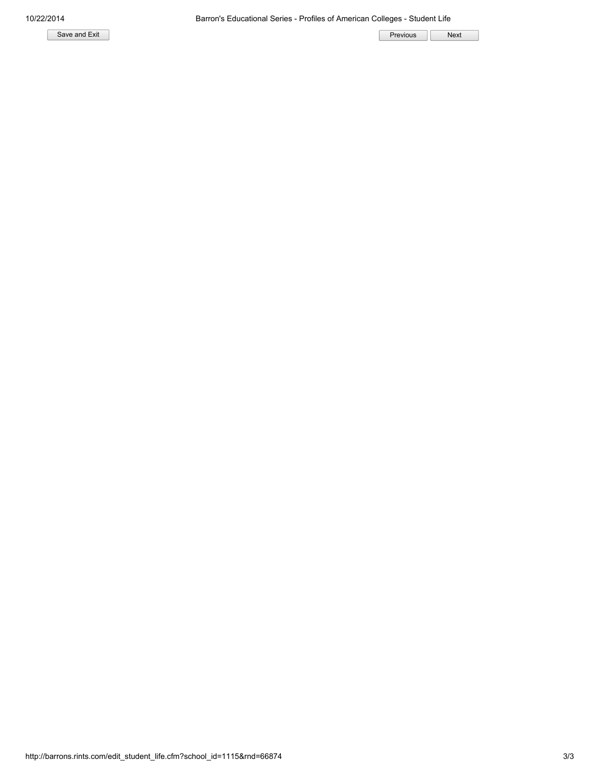Save and Exit **Next Next** Previous Reserve that the Save and Exit Previous Reserve that the Next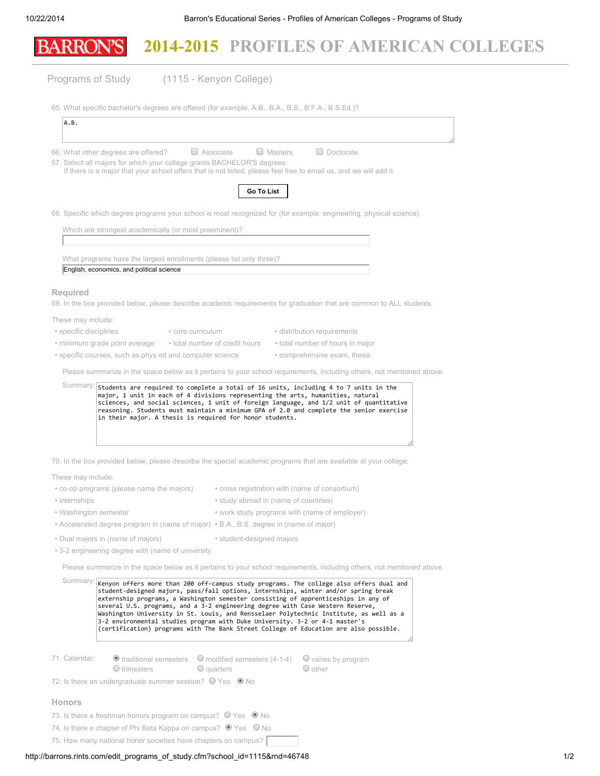| Programs of Study<br>(1115 - Kenyon College)<br>65. What specific bachelor's degrees are offered (for example, A.B., B.A., B.S., B.F.A., B.S.Ed.)?<br>A.B.<br>$\Box$ Associate<br>$\Box$ Doctorate<br>$\Box$ Masters<br>66. What other degrees are offered?<br>67. Select all majors for which your college grants BACHELOR'S degrees:<br>If there is a major that your school offers that is not listed, please feel free to email us, and we will add it.<br>Go To List<br>68. Specific which degree programs your school is most recognized for (for example: engineering, physical science)<br>Which are strongest academically (or most preeminent)?<br>What programs have the largest enrollments (please list only three)?<br>English, economics, and political science<br><b>Required</b><br>69. In the box provided below, please describe academic requirements for graduation that are common to ALL students:<br>These may include:<br>• specific disciplines<br>• core curriculum<br>• distribution requirements<br>• total number of credit hours<br>• total number of hours in major<br>• minimum grade point average<br>• specific courses, such as phys ed and computer science<br>• comprehensive exam, thesis<br>Please summarize in the space below as it pertains to your school requirements, including others, not mentioned above.<br>Summary: students are required to complete a total of 16 units, including 4 to 7 units in the<br>major, 1 unit in each of 4 divisions representing the arts, humanities, natural<br>sciences, and social sciences, 1 unit of foreign language, and 1/2 unit of quantitative<br>reasoning. Students must maintain a minimum GPA of 2.0 and complete the senior exercise<br>in their major. A thesis is required for honor students.<br>70. In the box provided below, please describe the special academic programs that are available at your college:<br>These may include:<br>• co-op programs (please name the majors)<br>• cross registration with (name of consortium)<br>• internships<br>• study abroad in (name of countries)<br>• Washington semester<br>• work study programs with (name of employer)<br>• Accelerated degree program in (name of major) • B.A., B.S. degree in (name of major)<br>• Dual majors in (name of majors)<br>• student-designed majors<br>• 3-2 engineering degree with (name of university<br>Please summarize in the space below as it pertains to your school requirements, including others, not mentioned above.<br>Summary:<br>Kenyon offers more than 200 off-campus study programs. The college also offers dual and<br>student-designed majors, pass/fail options, internships, winter and/or spring break<br>externship programs, a Washington semester consisting of apprenticeships in any of<br>several U.S. programs, and a 3-2 engineering degree with Case Western Reserve,<br>Washington University in St. Louis, and Rensselaer Polytechnic Institute, as well as a<br>3-2 environmental studies program with Duke University. 3-2 or 4-1 master's<br>(certification) programs with The Bank Street College of Education are also possible. |  |
|------------------------------------------------------------------------------------------------------------------------------------------------------------------------------------------------------------------------------------------------------------------------------------------------------------------------------------------------------------------------------------------------------------------------------------------------------------------------------------------------------------------------------------------------------------------------------------------------------------------------------------------------------------------------------------------------------------------------------------------------------------------------------------------------------------------------------------------------------------------------------------------------------------------------------------------------------------------------------------------------------------------------------------------------------------------------------------------------------------------------------------------------------------------------------------------------------------------------------------------------------------------------------------------------------------------------------------------------------------------------------------------------------------------------------------------------------------------------------------------------------------------------------------------------------------------------------------------------------------------------------------------------------------------------------------------------------------------------------------------------------------------------------------------------------------------------------------------------------------------------------------------------------------------------------------------------------------------------------------------------------------------------------------------------------------------------------------------------------------------------------------------------------------------------------------------------------------------------------------------------------------------------------------------------------------------------------------------------------------------------------------------------------------------------------------------------------------------------------------------------------------------------------------------------------------------------------------------------------------------------------------------------------------------------------------------------------------------------------------------------------------------------------------------------------------------------------------------------------------------------------------------------------------------------------------------------------------------------------------------------------------------------------------------------------------------------------------------------------------------------------------------------------------------|--|
|                                                                                                                                                                                                                                                                                                                                                                                                                                                                                                                                                                                                                                                                                                                                                                                                                                                                                                                                                                                                                                                                                                                                                                                                                                                                                                                                                                                                                                                                                                                                                                                                                                                                                                                                                                                                                                                                                                                                                                                                                                                                                                                                                                                                                                                                                                                                                                                                                                                                                                                                                                                                                                                                                                                                                                                                                                                                                                                                                                                                                                                                                                                                                                  |  |
|                                                                                                                                                                                                                                                                                                                                                                                                                                                                                                                                                                                                                                                                                                                                                                                                                                                                                                                                                                                                                                                                                                                                                                                                                                                                                                                                                                                                                                                                                                                                                                                                                                                                                                                                                                                                                                                                                                                                                                                                                                                                                                                                                                                                                                                                                                                                                                                                                                                                                                                                                                                                                                                                                                                                                                                                                                                                                                                                                                                                                                                                                                                                                                  |  |
|                                                                                                                                                                                                                                                                                                                                                                                                                                                                                                                                                                                                                                                                                                                                                                                                                                                                                                                                                                                                                                                                                                                                                                                                                                                                                                                                                                                                                                                                                                                                                                                                                                                                                                                                                                                                                                                                                                                                                                                                                                                                                                                                                                                                                                                                                                                                                                                                                                                                                                                                                                                                                                                                                                                                                                                                                                                                                                                                                                                                                                                                                                                                                                  |  |
|                                                                                                                                                                                                                                                                                                                                                                                                                                                                                                                                                                                                                                                                                                                                                                                                                                                                                                                                                                                                                                                                                                                                                                                                                                                                                                                                                                                                                                                                                                                                                                                                                                                                                                                                                                                                                                                                                                                                                                                                                                                                                                                                                                                                                                                                                                                                                                                                                                                                                                                                                                                                                                                                                                                                                                                                                                                                                                                                                                                                                                                                                                                                                                  |  |
|                                                                                                                                                                                                                                                                                                                                                                                                                                                                                                                                                                                                                                                                                                                                                                                                                                                                                                                                                                                                                                                                                                                                                                                                                                                                                                                                                                                                                                                                                                                                                                                                                                                                                                                                                                                                                                                                                                                                                                                                                                                                                                                                                                                                                                                                                                                                                                                                                                                                                                                                                                                                                                                                                                                                                                                                                                                                                                                                                                                                                                                                                                                                                                  |  |
|                                                                                                                                                                                                                                                                                                                                                                                                                                                                                                                                                                                                                                                                                                                                                                                                                                                                                                                                                                                                                                                                                                                                                                                                                                                                                                                                                                                                                                                                                                                                                                                                                                                                                                                                                                                                                                                                                                                                                                                                                                                                                                                                                                                                                                                                                                                                                                                                                                                                                                                                                                                                                                                                                                                                                                                                                                                                                                                                                                                                                                                                                                                                                                  |  |
|                                                                                                                                                                                                                                                                                                                                                                                                                                                                                                                                                                                                                                                                                                                                                                                                                                                                                                                                                                                                                                                                                                                                                                                                                                                                                                                                                                                                                                                                                                                                                                                                                                                                                                                                                                                                                                                                                                                                                                                                                                                                                                                                                                                                                                                                                                                                                                                                                                                                                                                                                                                                                                                                                                                                                                                                                                                                                                                                                                                                                                                                                                                                                                  |  |
|                                                                                                                                                                                                                                                                                                                                                                                                                                                                                                                                                                                                                                                                                                                                                                                                                                                                                                                                                                                                                                                                                                                                                                                                                                                                                                                                                                                                                                                                                                                                                                                                                                                                                                                                                                                                                                                                                                                                                                                                                                                                                                                                                                                                                                                                                                                                                                                                                                                                                                                                                                                                                                                                                                                                                                                                                                                                                                                                                                                                                                                                                                                                                                  |  |
|                                                                                                                                                                                                                                                                                                                                                                                                                                                                                                                                                                                                                                                                                                                                                                                                                                                                                                                                                                                                                                                                                                                                                                                                                                                                                                                                                                                                                                                                                                                                                                                                                                                                                                                                                                                                                                                                                                                                                                                                                                                                                                                                                                                                                                                                                                                                                                                                                                                                                                                                                                                                                                                                                                                                                                                                                                                                                                                                                                                                                                                                                                                                                                  |  |
|                                                                                                                                                                                                                                                                                                                                                                                                                                                                                                                                                                                                                                                                                                                                                                                                                                                                                                                                                                                                                                                                                                                                                                                                                                                                                                                                                                                                                                                                                                                                                                                                                                                                                                                                                                                                                                                                                                                                                                                                                                                                                                                                                                                                                                                                                                                                                                                                                                                                                                                                                                                                                                                                                                                                                                                                                                                                                                                                                                                                                                                                                                                                                                  |  |
|                                                                                                                                                                                                                                                                                                                                                                                                                                                                                                                                                                                                                                                                                                                                                                                                                                                                                                                                                                                                                                                                                                                                                                                                                                                                                                                                                                                                                                                                                                                                                                                                                                                                                                                                                                                                                                                                                                                                                                                                                                                                                                                                                                                                                                                                                                                                                                                                                                                                                                                                                                                                                                                                                                                                                                                                                                                                                                                                                                                                                                                                                                                                                                  |  |
|                                                                                                                                                                                                                                                                                                                                                                                                                                                                                                                                                                                                                                                                                                                                                                                                                                                                                                                                                                                                                                                                                                                                                                                                                                                                                                                                                                                                                                                                                                                                                                                                                                                                                                                                                                                                                                                                                                                                                                                                                                                                                                                                                                                                                                                                                                                                                                                                                                                                                                                                                                                                                                                                                                                                                                                                                                                                                                                                                                                                                                                                                                                                                                  |  |
|                                                                                                                                                                                                                                                                                                                                                                                                                                                                                                                                                                                                                                                                                                                                                                                                                                                                                                                                                                                                                                                                                                                                                                                                                                                                                                                                                                                                                                                                                                                                                                                                                                                                                                                                                                                                                                                                                                                                                                                                                                                                                                                                                                                                                                                                                                                                                                                                                                                                                                                                                                                                                                                                                                                                                                                                                                                                                                                                                                                                                                                                                                                                                                  |  |
|                                                                                                                                                                                                                                                                                                                                                                                                                                                                                                                                                                                                                                                                                                                                                                                                                                                                                                                                                                                                                                                                                                                                                                                                                                                                                                                                                                                                                                                                                                                                                                                                                                                                                                                                                                                                                                                                                                                                                                                                                                                                                                                                                                                                                                                                                                                                                                                                                                                                                                                                                                                                                                                                                                                                                                                                                                                                                                                                                                                                                                                                                                                                                                  |  |
|                                                                                                                                                                                                                                                                                                                                                                                                                                                                                                                                                                                                                                                                                                                                                                                                                                                                                                                                                                                                                                                                                                                                                                                                                                                                                                                                                                                                                                                                                                                                                                                                                                                                                                                                                                                                                                                                                                                                                                                                                                                                                                                                                                                                                                                                                                                                                                                                                                                                                                                                                                                                                                                                                                                                                                                                                                                                                                                                                                                                                                                                                                                                                                  |  |
|                                                                                                                                                                                                                                                                                                                                                                                                                                                                                                                                                                                                                                                                                                                                                                                                                                                                                                                                                                                                                                                                                                                                                                                                                                                                                                                                                                                                                                                                                                                                                                                                                                                                                                                                                                                                                                                                                                                                                                                                                                                                                                                                                                                                                                                                                                                                                                                                                                                                                                                                                                                                                                                                                                                                                                                                                                                                                                                                                                                                                                                                                                                                                                  |  |
|                                                                                                                                                                                                                                                                                                                                                                                                                                                                                                                                                                                                                                                                                                                                                                                                                                                                                                                                                                                                                                                                                                                                                                                                                                                                                                                                                                                                                                                                                                                                                                                                                                                                                                                                                                                                                                                                                                                                                                                                                                                                                                                                                                                                                                                                                                                                                                                                                                                                                                                                                                                                                                                                                                                                                                                                                                                                                                                                                                                                                                                                                                                                                                  |  |
|                                                                                                                                                                                                                                                                                                                                                                                                                                                                                                                                                                                                                                                                                                                                                                                                                                                                                                                                                                                                                                                                                                                                                                                                                                                                                                                                                                                                                                                                                                                                                                                                                                                                                                                                                                                                                                                                                                                                                                                                                                                                                                                                                                                                                                                                                                                                                                                                                                                                                                                                                                                                                                                                                                                                                                                                                                                                                                                                                                                                                                                                                                                                                                  |  |
|                                                                                                                                                                                                                                                                                                                                                                                                                                                                                                                                                                                                                                                                                                                                                                                                                                                                                                                                                                                                                                                                                                                                                                                                                                                                                                                                                                                                                                                                                                                                                                                                                                                                                                                                                                                                                                                                                                                                                                                                                                                                                                                                                                                                                                                                                                                                                                                                                                                                                                                                                                                                                                                                                                                                                                                                                                                                                                                                                                                                                                                                                                                                                                  |  |
|                                                                                                                                                                                                                                                                                                                                                                                                                                                                                                                                                                                                                                                                                                                                                                                                                                                                                                                                                                                                                                                                                                                                                                                                                                                                                                                                                                                                                                                                                                                                                                                                                                                                                                                                                                                                                                                                                                                                                                                                                                                                                                                                                                                                                                                                                                                                                                                                                                                                                                                                                                                                                                                                                                                                                                                                                                                                                                                                                                                                                                                                                                                                                                  |  |
|                                                                                                                                                                                                                                                                                                                                                                                                                                                                                                                                                                                                                                                                                                                                                                                                                                                                                                                                                                                                                                                                                                                                                                                                                                                                                                                                                                                                                                                                                                                                                                                                                                                                                                                                                                                                                                                                                                                                                                                                                                                                                                                                                                                                                                                                                                                                                                                                                                                                                                                                                                                                                                                                                                                                                                                                                                                                                                                                                                                                                                                                                                                                                                  |  |
|                                                                                                                                                                                                                                                                                                                                                                                                                                                                                                                                                                                                                                                                                                                                                                                                                                                                                                                                                                                                                                                                                                                                                                                                                                                                                                                                                                                                                                                                                                                                                                                                                                                                                                                                                                                                                                                                                                                                                                                                                                                                                                                                                                                                                                                                                                                                                                                                                                                                                                                                                                                                                                                                                                                                                                                                                                                                                                                                                                                                                                                                                                                                                                  |  |
|                                                                                                                                                                                                                                                                                                                                                                                                                                                                                                                                                                                                                                                                                                                                                                                                                                                                                                                                                                                                                                                                                                                                                                                                                                                                                                                                                                                                                                                                                                                                                                                                                                                                                                                                                                                                                                                                                                                                                                                                                                                                                                                                                                                                                                                                                                                                                                                                                                                                                                                                                                                                                                                                                                                                                                                                                                                                                                                                                                                                                                                                                                                                                                  |  |
|                                                                                                                                                                                                                                                                                                                                                                                                                                                                                                                                                                                                                                                                                                                                                                                                                                                                                                                                                                                                                                                                                                                                                                                                                                                                                                                                                                                                                                                                                                                                                                                                                                                                                                                                                                                                                                                                                                                                                                                                                                                                                                                                                                                                                                                                                                                                                                                                                                                                                                                                                                                                                                                                                                                                                                                                                                                                                                                                                                                                                                                                                                                                                                  |  |
|                                                                                                                                                                                                                                                                                                                                                                                                                                                                                                                                                                                                                                                                                                                                                                                                                                                                                                                                                                                                                                                                                                                                                                                                                                                                                                                                                                                                                                                                                                                                                                                                                                                                                                                                                                                                                                                                                                                                                                                                                                                                                                                                                                                                                                                                                                                                                                                                                                                                                                                                                                                                                                                                                                                                                                                                                                                                                                                                                                                                                                                                                                                                                                  |  |
|                                                                                                                                                                                                                                                                                                                                                                                                                                                                                                                                                                                                                                                                                                                                                                                                                                                                                                                                                                                                                                                                                                                                                                                                                                                                                                                                                                                                                                                                                                                                                                                                                                                                                                                                                                                                                                                                                                                                                                                                                                                                                                                                                                                                                                                                                                                                                                                                                                                                                                                                                                                                                                                                                                                                                                                                                                                                                                                                                                                                                                                                                                                                                                  |  |
|                                                                                                                                                                                                                                                                                                                                                                                                                                                                                                                                                                                                                                                                                                                                                                                                                                                                                                                                                                                                                                                                                                                                                                                                                                                                                                                                                                                                                                                                                                                                                                                                                                                                                                                                                                                                                                                                                                                                                                                                                                                                                                                                                                                                                                                                                                                                                                                                                                                                                                                                                                                                                                                                                                                                                                                                                                                                                                                                                                                                                                                                                                                                                                  |  |
|                                                                                                                                                                                                                                                                                                                                                                                                                                                                                                                                                                                                                                                                                                                                                                                                                                                                                                                                                                                                                                                                                                                                                                                                                                                                                                                                                                                                                                                                                                                                                                                                                                                                                                                                                                                                                                                                                                                                                                                                                                                                                                                                                                                                                                                                                                                                                                                                                                                                                                                                                                                                                                                                                                                                                                                                                                                                                                                                                                                                                                                                                                                                                                  |  |
|                                                                                                                                                                                                                                                                                                                                                                                                                                                                                                                                                                                                                                                                                                                                                                                                                                                                                                                                                                                                                                                                                                                                                                                                                                                                                                                                                                                                                                                                                                                                                                                                                                                                                                                                                                                                                                                                                                                                                                                                                                                                                                                                                                                                                                                                                                                                                                                                                                                                                                                                                                                                                                                                                                                                                                                                                                                                                                                                                                                                                                                                                                                                                                  |  |
|                                                                                                                                                                                                                                                                                                                                                                                                                                                                                                                                                                                                                                                                                                                                                                                                                                                                                                                                                                                                                                                                                                                                                                                                                                                                                                                                                                                                                                                                                                                                                                                                                                                                                                                                                                                                                                                                                                                                                                                                                                                                                                                                                                                                                                                                                                                                                                                                                                                                                                                                                                                                                                                                                                                                                                                                                                                                                                                                                                                                                                                                                                                                                                  |  |
|                                                                                                                                                                                                                                                                                                                                                                                                                                                                                                                                                                                                                                                                                                                                                                                                                                                                                                                                                                                                                                                                                                                                                                                                                                                                                                                                                                                                                                                                                                                                                                                                                                                                                                                                                                                                                                                                                                                                                                                                                                                                                                                                                                                                                                                                                                                                                                                                                                                                                                                                                                                                                                                                                                                                                                                                                                                                                                                                                                                                                                                                                                                                                                  |  |

### Honors

73. Is there a freshman honors program on campus?  $\bigcirc$  Yes  $\bigcirc$  No

74. Is there a chapter of Phi Beta Kappa on campus?  $\bullet$  Yes  $\bullet$  No

75. How many national honor societies have chapters on campus?

### http://barrons.rints.com/edit\_programs\_of\_study.cfm?school\_id=1115&rnd=46748 1/2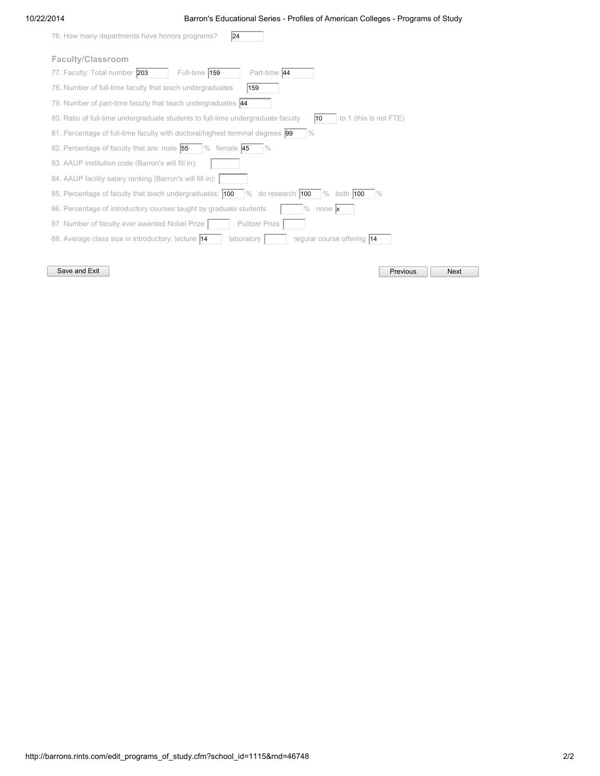### 10/22/2014 Barron's Educational Series - Profiles of American Colleges - Programs of Study

| 76. How many departments have honors programs?<br> 24                                                                                                 |
|-------------------------------------------------------------------------------------------------------------------------------------------------------|
| Faculty/Classroom                                                                                                                                     |
| Full-time $159$<br>Part-time 44<br>77. Faculty: Total number 203                                                                                      |
| 78. Number of full-time faculty that teach undergraduates<br>159                                                                                      |
| 79. Number of part-time faculty that teach undergraduates 44                                                                                          |
| 80. Ratio of full-time undergraduate students to full-time undergraduate faculty<br>to 1 (this is not FTE)<br>10                                      |
| $\frac{0}{0}$<br>81. Percentage of full-time faculty with doctoral/highest terminal degrees  99                                                       |
| 82. Percentage of faculty that are: male 55<br>$%$ female 45<br>$\frac{0}{0}$                                                                         |
| 83. AAUP institution code (Barron's will fill in):                                                                                                    |
| 84. AAUP facility salary ranking (Barron's will fill in):                                                                                             |
| 85. Percentage of faculty that teach undergraduates: $ 100 \rangle$ % do research $ 100 \rangle$<br>both <b>100</b><br>$\frac{9}{6}$<br>$\frac{9}{6}$ |
| 86. Percentage of introductory courses taught by graduate students<br>% none $\mathbf{x}$                                                             |
| <b>Pulitzer Prize</b><br>87. Number of faculty ever awarded Nobel Prize                                                                               |
| 88. Average class size in introductory: lecture 14<br>regular course offering 14<br>laboratory                                                        |
|                                                                                                                                                       |

Save and Exit **Previous** Research Assembly Research Assembly Research Previous Research Research Research Previous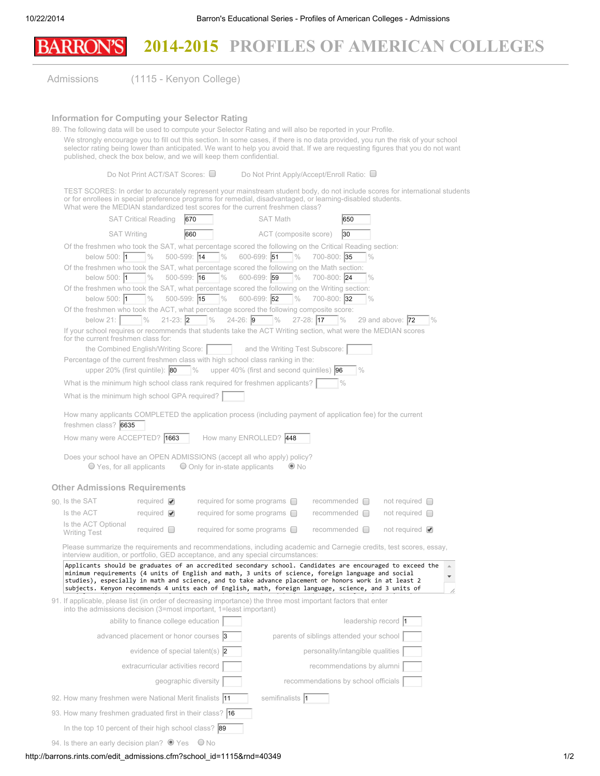# 2014-2015 PROFILES OF AMERICAN COLLEGES **BARRON'S**

Admissions (1115 - Kenyon College)

#### Information for Computing your Selector Rating

89. The following data will be used to compute your Selector Rating and will also be reported in your Profile. We strongly encourage you to fill out this section. In some cases, if there is no data provided, you run the risk of your school selector rating being lower than anticipated. We want to help you avoid that. If we are requesting figures that you do not want published, check the box below, and we will keep them confidential.

Do Not Print ACT/SAT Scores: □ Do Not Print Apply/Accept/Enroll Ratio: □

TEST SCORES: In order to accurately represent your mainstream student body, do not include scores for international students or for enrollees in special preference programs for remedial, disadvantaged, or learning-disabled students. What were the MEDIAN standardized test scores for the current freshmen class?

| WORD THE IVIL DIAIN SIGHTUGH UILD                                                                                                                                                                                                                                                                                                                                                                                               |                                          | teat acorea for the current healmhen cldaa : |                                               |                                 |                                          |                     |               |
|---------------------------------------------------------------------------------------------------------------------------------------------------------------------------------------------------------------------------------------------------------------------------------------------------------------------------------------------------------------------------------------------------------------------------------|------------------------------------------|----------------------------------------------|-----------------------------------------------|---------------------------------|------------------------------------------|---------------------|---------------|
|                                                                                                                                                                                                                                                                                                                                                                                                                                 | <b>SAT Critical Reading</b>              | 670                                          | <b>SAT Math</b>                               |                                 | 650                                      |                     |               |
| <b>SAT Writing</b>                                                                                                                                                                                                                                                                                                                                                                                                              |                                          | 660                                          | ACT (composite score)                         |                                 | 30                                       |                     |               |
| Of the freshmen who took the SAT, what percentage scored the following on the Critical Reading section:                                                                                                                                                                                                                                                                                                                         |                                          |                                              |                                               |                                 |                                          |                     |               |
| below 500: $\vert$ 1                                                                                                                                                                                                                                                                                                                                                                                                            | $500 - 599$ : 14<br>$\frac{0}{0}$        | $\frac{0}{0}$                                | 600-699: 51<br>$\frac{0}{0}$                  | 700-800: 35                     |                                          |                     |               |
| Of the freshmen who took the SAT, what percentage scored the following on the Math section:<br>below 500: $\vert$ 1                                                                                                                                                                                                                                                                                                             | $500 - 599$ : 16<br>$\frac{0}{0}$        | $\frac{1}{2}$                                | 600-699: 59<br>$\frac{0}{0}$                  | 700-800: 24                     | $\frac{0}{0}$                            |                     |               |
| Of the freshmen who took the SAT, what percentage scored the following on the Writing section:                                                                                                                                                                                                                                                                                                                                  |                                          |                                              |                                               |                                 |                                          |                     |               |
| below 500: $\vert$ 1                                                                                                                                                                                                                                                                                                                                                                                                            | $500 - 599$ : 15<br>$\frac{0}{0}$        | $\frac{0}{0}$                                | 600-699: 52<br>$\frac{0}{0}$                  | 700-800: 32                     |                                          |                     |               |
| Of the freshmen who took the ACT, what percentage scored the following composite score:                                                                                                                                                                                                                                                                                                                                         |                                          |                                              |                                               |                                 |                                          |                     |               |
| below $21:$<br>If your school requires or recommends that students take the ACT Writing section, what were the MEDIAN scores                                                                                                                                                                                                                                                                                                    | $\frac{0}{0}$<br>$21-23:$ 2 %            |                                              | $24 - 26$ : 9 %                               | $27 - 28$ : 17<br>$\frac{0}{0}$ |                                          | 29 and above: $72$  | $\frac{0}{0}$ |
| for the current freshmen class for:                                                                                                                                                                                                                                                                                                                                                                                             |                                          |                                              |                                               |                                 |                                          |                     |               |
|                                                                                                                                                                                                                                                                                                                                                                                                                                 | the Combined English/Writing Score:      |                                              | and the Writing Test Subscore:                |                                 |                                          |                     |               |
| Percentage of the current freshmen class with high school class ranking in the:                                                                                                                                                                                                                                                                                                                                                 | upper 20% (first quintile): $ 80\rangle$ | $\%$                                         | upper 40% (first and second quintiles) $ 96 $ |                                 |                                          |                     |               |
| What is the minimum high school class rank required for freshmen applicants?                                                                                                                                                                                                                                                                                                                                                    |                                          |                                              |                                               | $\frac{0}{0}$                   |                                          |                     |               |
| What is the minimum high school GPA required?                                                                                                                                                                                                                                                                                                                                                                                   |                                          |                                              |                                               |                                 |                                          |                     |               |
| How many applicants COMPLETED the application process (including payment of application fee) for the current<br>freshmen class? 6635                                                                                                                                                                                                                                                                                            |                                          |                                              |                                               |                                 |                                          |                     |               |
| How many were ACCEPTED? 1663                                                                                                                                                                                                                                                                                                                                                                                                    |                                          | How many ENROLLED? 448                       |                                               |                                 |                                          |                     |               |
| Does your school have an OPEN ADMISSIONS (accept all who apply) policy?<br>$\bigcirc$ Yes, for all applicants                                                                                                                                                                                                                                                                                                                   |                                          | $\bigcirc$ Only for in-state applicants      | $\odot$ No                                    |                                 |                                          |                     |               |
| <b>Other Admissions Requirements</b>                                                                                                                                                                                                                                                                                                                                                                                            |                                          |                                              |                                               |                                 |                                          |                     |               |
| 90. Is the SAT                                                                                                                                                                                                                                                                                                                                                                                                                  | required $\blacktriangledown$            | required for some programs $\Box$            |                                               | recommended $\Box$              |                                          | not required $\Box$ |               |
| Is the ACT                                                                                                                                                                                                                                                                                                                                                                                                                      | required $\blacktriangledown$            | required for some programs $\Box$            |                                               | recommended $\Box$              |                                          | not required $\Box$ |               |
| Is the ACT Optional<br><b>Writing Test</b>                                                                                                                                                                                                                                                                                                                                                                                      | required $\Box$                          | required for some programs $\Box$            |                                               | $recommended$ $\Box$            |                                          | not required $\Box$ |               |
| Please summarize the requirements and recommendations, including academic and Carnegie credits, test scores, essay,<br>interview audition, or portfolio, GED acceptance, and any special circumstances:                                                                                                                                                                                                                         |                                          |                                              |                                               |                                 |                                          |                     |               |
| Applicants should be graduates of an accredited secondary school. Candidates are encouraged to exceed the<br>minimum requirements (4 units of English and math, 3 units of science, foreign language and social<br>studies), especially in math and science, and to take advance placement or honors work in at least 2<br>subjects. Kenyon recommends 4 units each of English, math, foreign language, science, and 3 units of |                                          |                                              |                                               |                                 |                                          |                     |               |
| 91. If applicable, please list (in order of decreasing importance) the three most important factors that enter<br>into the admissions decision (3=most important, 1=least important)                                                                                                                                                                                                                                            |                                          |                                              |                                               |                                 |                                          |                     |               |
|                                                                                                                                                                                                                                                                                                                                                                                                                                 | ability to finance college education     |                                              |                                               |                                 | leadership record 1                      |                     |               |
|                                                                                                                                                                                                                                                                                                                                                                                                                                 | advanced placement or honor courses 3    |                                              |                                               |                                 | parents of siblings attended your school |                     |               |
|                                                                                                                                                                                                                                                                                                                                                                                                                                 | evidence of special talent(s) $ 2 $      |                                              |                                               |                                 | personality/intangible qualities         |                     |               |
|                                                                                                                                                                                                                                                                                                                                                                                                                                 | extracurricular activities record        |                                              |                                               |                                 | recommendations by alumni                |                     |               |
|                                                                                                                                                                                                                                                                                                                                                                                                                                 | geographic diversity                     |                                              |                                               |                                 | recommendations by school officials      |                     |               |
| 92. How many freshmen were National Merit finalists 11                                                                                                                                                                                                                                                                                                                                                                          |                                          |                                              | semifinalists 1                               |                                 |                                          |                     |               |
| 93. How many freshmen graduated first in their class? 16                                                                                                                                                                                                                                                                                                                                                                        |                                          |                                              |                                               |                                 |                                          |                     |               |
| In the top 10 percent of their high school class? 89                                                                                                                                                                                                                                                                                                                                                                            |                                          |                                              |                                               |                                 |                                          |                     |               |
| 94. Is there an early decision plan? <sup>O</sup> Yes                                                                                                                                                                                                                                                                                                                                                                           |                                          | $\bigcirc$ No                                |                                               |                                 |                                          |                     |               |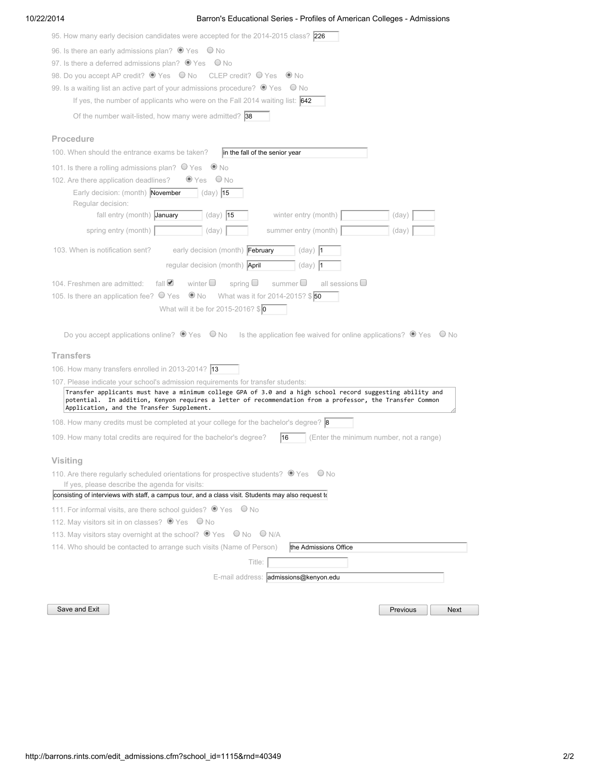### 10/22/2014 Barron's Educational Series - Profiles of American Colleges - Admissions

| 95. How many early decision candidates were accepted for the 2014-2015 class? 226                                                                                                              |
|------------------------------------------------------------------------------------------------------------------------------------------------------------------------------------------------|
| 96. Is there an early admissions plan? <sup>O</sup> Yes O No                                                                                                                                   |
| 97. Is there a deferred admissions plan? $\bullet$ Yes $\circ$ No                                                                                                                              |
| 98. Do you accept AP credit?  If Yes  I No  CLEP credit?  If Yes   I No                                                                                                                        |
| 99. Is a waiting list an active part of your admissions procedure? $\bullet$ Yes $\circ$ No                                                                                                    |
| If yes, the number of applicants who were on the Fall 2014 waiting list: $\frac{642}{642}$                                                                                                     |
| Of the number wait-listed, how many were admitted? $ 38 $                                                                                                                                      |
| Procedure                                                                                                                                                                                      |
| 100. When should the entrance exams be taken?<br>in the fall of the senior year                                                                                                                |
| 101. Is there a rolling admissions plan? $\bigcirc$ Yes $\bigcirc$ No                                                                                                                          |
| $\bullet$ Yes<br>$O$ No<br>102. Are there application deadlines?                                                                                                                               |
| Early decision: (month) November<br>$(day)$ 15<br>Regular decision:                                                                                                                            |
| fall entry (month) January<br>winter entry (month)<br>$(day)$ 15<br>(day)                                                                                                                      |
| spring entry (month)<br>(day)<br>summer entry (month)<br>(day)                                                                                                                                 |
| 103. When is notification sent?<br>early decision (month) February<br>$(day)$  1                                                                                                               |
| regular decision (month) April<br>$(day)$ 1                                                                                                                                                    |
| fall $\triangleleft$<br>winter $\Box$<br>spring $\square$<br>summer $\Box$<br>all sessions $\Box$<br>104. Freshmen are admitted:                                                               |
| 105. Is there an application fee? $\bigcirc$ Yes $\bigcirc$ No What was it for 2014-2015? \$ 50                                                                                                |
| What will it be for 2015-2016? $\sqrt[6]{\mathbf{0}}$                                                                                                                                          |
|                                                                                                                                                                                                |
| Do you accept applications online? $\bullet$ Yes $\bullet$ No Is the application fee waived for online applications? $\bullet$ Yes $\bullet$ No                                                |
| <b>Transfers</b>                                                                                                                                                                               |
| 106. How many transfers enrolled in 2013-2014? 13                                                                                                                                              |
| 107. Please indicate your school's admission requirements for transfer students:<br>Transfer applicants must have a minimum college GPA of 3.0 and a high school record suggesting ability and |
| potential. In addition, Kenyon requires a letter of recommendation from a professor, the Transfer Common<br>Application, and the Transfer Supplement.                                          |
| 108. How many credits must be completed at your college for the bachelor's degree? <b>8</b>                                                                                                    |
| 109. How many total credits are required for the bachelor's degree?<br>(Enter the minimum number, not a range)<br>16                                                                           |
| Visiting                                                                                                                                                                                       |
| 110. Are there regularly scheduled orientations for prospective students? $\bullet$ Yes $\circ$ No<br>If yes, please describe the agenda for visits:                                           |
| consisting of interviews with staff, a campus tour, and a class visit. Students may also request to                                                                                            |
| 111. For informal visits, are there school guides? ● Yes ● No                                                                                                                                  |
| 112. May visitors sit in on classes? ● Yes ● No                                                                                                                                                |
| 113. May visitors stay overnight at the school? ● Yes ● No ● N/A                                                                                                                               |
| 114. Who should be contacted to arrange such visits (Name of Person)<br>the Admissions Office                                                                                                  |
| Title:                                                                                                                                                                                         |
| E-mail address: admissions@kenyon.edu                                                                                                                                                          |
| Save and Exit<br>Previous<br>Next                                                                                                                                                              |
|                                                                                                                                                                                                |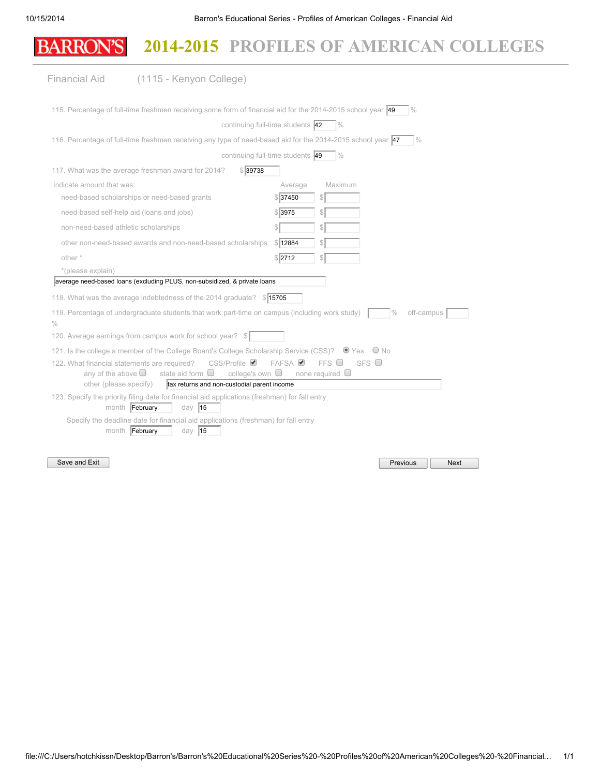# BARRON'S 2014-2015 PROFILES OF AMERICAN COLLEGES

| Financial Aid                                                           | (1115 - Kenyon College)                                                                                                 |          |                                    |                             |             |
|-------------------------------------------------------------------------|-------------------------------------------------------------------------------------------------------------------------|----------|------------------------------------|-----------------------------|-------------|
|                                                                         | 115. Percentage of full-time freshmen receiving some form of financial aid for the 2014-2015 school year 49             |          |                                    | $\frac{0}{0}$               |             |
|                                                                         | continuing full-time students 42                                                                                        |          | $\%$                               |                             |             |
|                                                                         | 116. Percentage of full-time freshmen receiving any type of need-based aid for the 2014-2015 school year 47             |          |                                    | $\frac{9}{6}$               |             |
|                                                                         | continuing full-time students 49                                                                                        |          | $\frac{0}{0}$                      |                             |             |
|                                                                         | \$39738<br>117. What was the average freshman award for 2014?                                                           |          |                                    |                             |             |
| Indicate amount that was:                                               |                                                                                                                         | Average  | Maximum                            |                             |             |
|                                                                         | need-based scholarships or need-based grants                                                                            | \$ 37450 | \$                                 |                             |             |
| need-based self-help aid (loans and jobs)                               |                                                                                                                         | \$ 3975  | \$                                 |                             |             |
| non-need-based athletic scholarships                                    |                                                                                                                         | S        | \$                                 |                             |             |
|                                                                         | other non-need-based awards and non-need-based scholarships                                                             | \$12884  | \$                                 |                             |             |
| other *                                                                 |                                                                                                                         | \$2712   | \$                                 |                             |             |
| *(please explain)                                                       |                                                                                                                         |          |                                    |                             |             |
|                                                                         | average need-based loans (excluding PLUS, non-subsidized, & private loans                                               |          |                                    |                             |             |
|                                                                         | 118. What was the average indebtedness of the 2014 graduate? \$15705                                                    |          |                                    |                             |             |
| $\%$                                                                    | 119. Percentage of undergraduate students that work part-time on campus (including work study)                          |          |                                    | $\frac{0}{0}$<br>off-campus |             |
|                                                                         | 120. Average earnings from campus work for school year?<br>-S I                                                         |          |                                    |                             |             |
|                                                                         | 121. Is the college a member of the College Board's College Scholarship Service (CSS)? <sup>1</sup> Yes <sup>1</sup> No |          |                                    |                             |             |
| 122. What financial statements are required?<br>any of the above $\Box$ | $CSS/Profile \n\mathcal{Q}$<br>state aid form $\Box$<br>college's own $\Box$                                            | FAFSA    | FFS<br>SFS<br>none required $\Box$ |                             |             |
| other (please specify)                                                  | tax returns and non-custodial parent income                                                                             |          |                                    |                             |             |
| month February                                                          | 123. Specify the priority filing date for financial aid applications (freshman) for fall entry<br>day $ 15$             |          |                                    |                             |             |
|                                                                         | Specify the deadline date for financial aid applications (freshman) for fall entry                                      |          |                                    |                             |             |
| month February                                                          | day $ 15$                                                                                                               |          |                                    |                             |             |
|                                                                         |                                                                                                                         |          |                                    |                             |             |
| Save and Exit                                                           |                                                                                                                         |          |                                    | Previous                    | <b>Next</b> |

file:///C:/Users/hotchkissn/Desktop/Barron's/Barron's%20Educational%20Series%20-%20Profiles%20of%20American%20Colleges%20-%20Financial… 1/1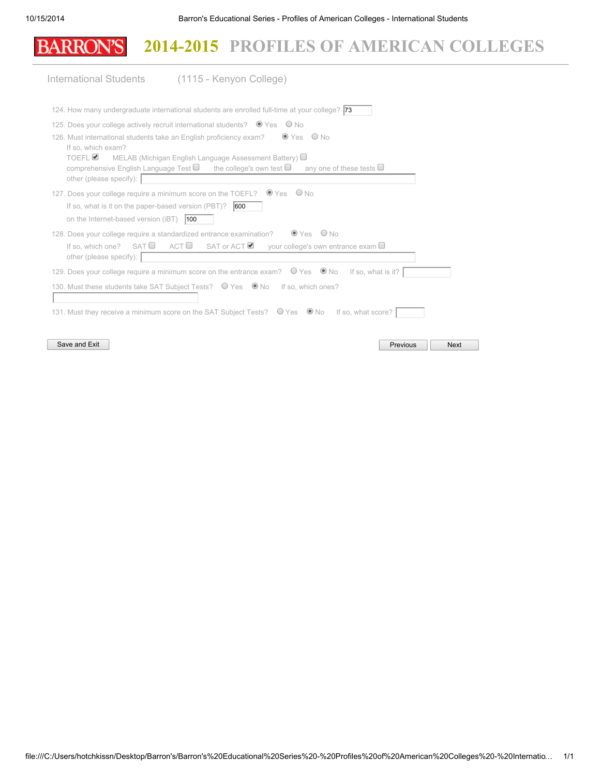# **BARRON'S** 2014-2015 PROFILES OF AMERICAN COLLEGES

|                                                                     | International Students (1115 - Kenyon College)                                                                                                                                                                                                                      |             |  |
|---------------------------------------------------------------------|---------------------------------------------------------------------------------------------------------------------------------------------------------------------------------------------------------------------------------------------------------------------|-------------|--|
|                                                                     | 124. How many undergraduate international students are enrolled full-time at your college? <b>73</b>                                                                                                                                                                |             |  |
|                                                                     | 125. Does your college actively recruit international students? ● Yes ● No                                                                                                                                                                                          |             |  |
| If so, which exam?<br>TOEFL <sup>Ø</sup><br>other (please specify): | $\bullet$ Yes $\circ$ No<br>126. Must international students take an English proficiency exam?<br>MELAB (Michigan English Language Assessment Battery)<br>comprehensive English Language Test $\Box$ the college's own test $\Box$<br>any one of these tests $\Box$ |             |  |
|                                                                     | 127. Does your college require a minimum score on the TOEFL? ● Yes ● No                                                                                                                                                                                             |             |  |
| If so, what is it on the paper-based version (PBT)?                 | 600                                                                                                                                                                                                                                                                 |             |  |
| on the Internet-based version (iBT)                                 | 100                                                                                                                                                                                                                                                                 |             |  |
| If so, which one? $SAT \Box$<br>other (please specify):             | $OYes$ ONo<br>128. Does your college require a standardized entrance examination?<br>ACT $\Box$ SAT or ACT $\Box$ your college's own entrance exam $\Box$                                                                                                           |             |  |
|                                                                     | 129. Does your college require a minimum score on the entrance exam? $\bigcirc$ Yes $\bigcirc$ No<br>If so, what is it?                                                                                                                                             |             |  |
|                                                                     | 130. Must these students take SAT Subject Tests? O Yes O No If so, which ones?                                                                                                                                                                                      |             |  |
| Save and Exit                                                       | 131. Must they receive a minimum score on the SAT Subject Tests? O Yes O No If so, what score?<br>Previous                                                                                                                                                          | <b>Next</b> |  |
|                                                                     |                                                                                                                                                                                                                                                                     |             |  |

file:///C:/Users/hotchkissn/Desktop/Barron's/Barron's%20Educational%20Series%20-%20Profiles%20of%20American%20Colleges%20-%20Internatio… 1/1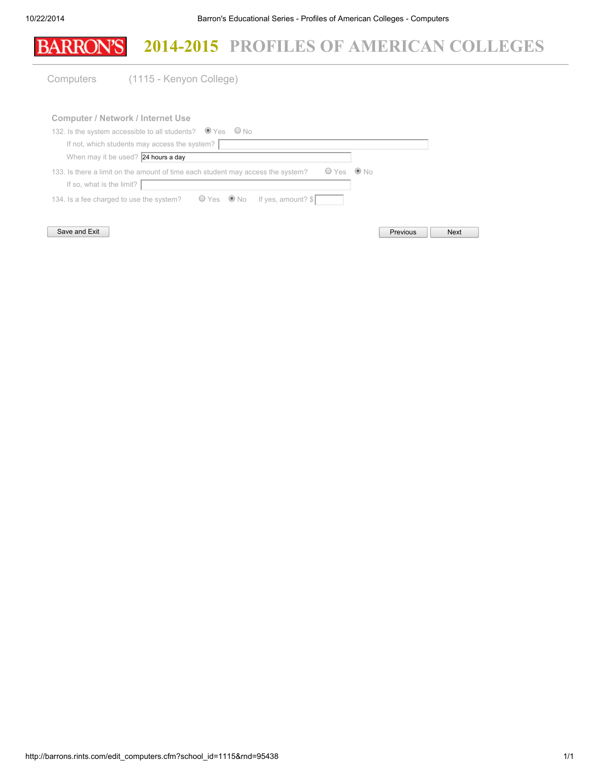

| 132. Is the system accessible to all students? $\bullet$ Yes $\circ$ No                            |          |             |
|----------------------------------------------------------------------------------------------------|----------|-------------|
| If not, which students may access the system?                                                      |          |             |
| When may it be used? 24 hours a day                                                                |          |             |
| $OYes$ $@$ No<br>133. Is there a limit on the amount of time each student may access the system?   |          |             |
| If so, what is the limit?                                                                          |          |             |
| 134. Is a fee charged to use the system? $\bigcirc$ Yes $\bigcirc$ No If yes, amount? $\mathbb{S}$ |          |             |
|                                                                                                    |          |             |
| Save and Exit                                                                                      | Previous | <b>Next</b> |

http://barrons.rints.com/edit\_computers.cfm?school\_id=1115&rnd=95438 1/1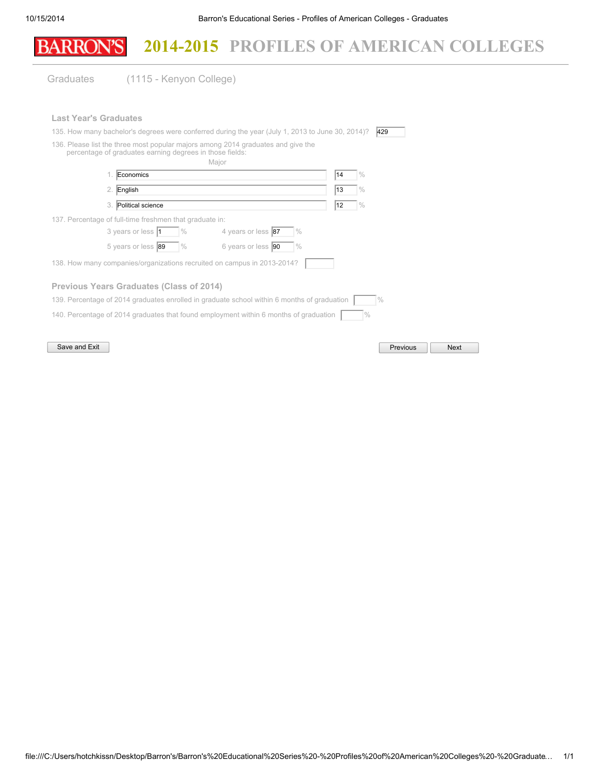|                              |                                                                         | 2014-2015 PROFILES OF AMERICAN COLLEGES                                                                                                                                              |    |                 |             |  |
|------------------------------|-------------------------------------------------------------------------|--------------------------------------------------------------------------------------------------------------------------------------------------------------------------------------|----|-----------------|-------------|--|
| Graduates                    | (1115 - Kenyon College)                                                 |                                                                                                                                                                                      |    |                 |             |  |
| <b>Last Year's Graduates</b> | percentage of graduates earning degrees in those fields:                | 135. How many bachelor's degrees were conferred during the year (July 1, 2013 to June 30, 2014)?<br>136. Please list the three most popular majors among 2014 graduates and give the |    | 429             |             |  |
|                              |                                                                         | Major                                                                                                                                                                                |    |                 |             |  |
|                              | Economics                                                               |                                                                                                                                                                                      | 14 | $\frac{0}{0}$   |             |  |
| 2. English                   |                                                                         |                                                                                                                                                                                      | 13 | $\frac{0}{0}$   |             |  |
| 3.                           | Political science                                                       |                                                                                                                                                                                      | 12 | $\frac{0}{0}$   |             |  |
|                              | 137. Percentage of full-time freshmen that graduate in:                 |                                                                                                                                                                                      |    |                 |             |  |
|                              | 3 years or less 1<br>$\frac{0}{0}$                                      | 4 years or less 87<br>$\frac{0}{0}$                                                                                                                                                  |    |                 |             |  |
|                              | 5 years or less 89<br>$\%$                                              | 6 years or less 90<br>$\frac{0}{0}$                                                                                                                                                  |    |                 |             |  |
|                              | 138. How many companies/organizations recruited on campus in 2013-2014? |                                                                                                                                                                                      |    |                 |             |  |
|                              | Previous Years Graduates (Class of 2014)                                |                                                                                                                                                                                      |    |                 |             |  |
|                              |                                                                         | 139. Percentage of 2014 graduates enrolled in graduate school within 6 months of graduation                                                                                          |    | $\frac{0}{0}$   |             |  |
|                              |                                                                         | 140. Percentage of 2014 graduates that found employment within 6 months of graduation                                                                                                |    | $\frac{0}{0}$   |             |  |
| Save and Exit                |                                                                         |                                                                                                                                                                                      |    | <b>Previous</b> | <b>Next</b> |  |